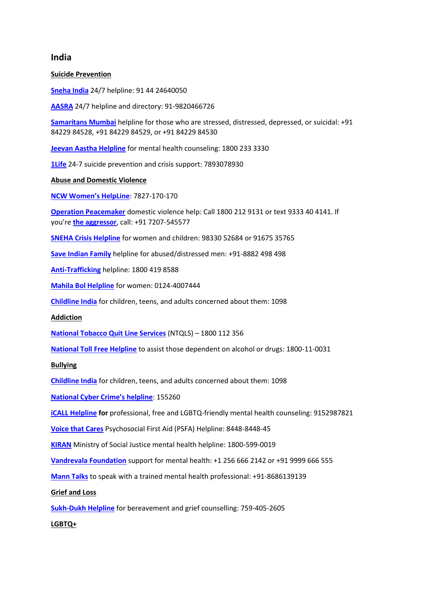# **India**

**Suicide Prevention**

**[Sneha India](http://www.snehaindia.org/)** 24/7 helpline: 91 44 24640050

**[AASRA](http://www.aasra.info/helpline.html)** 24/7 helpline and directory: 91-9820466726

**[Samaritans Mumbai](http://www.samaritansmumbai.com/)** helpline for those who are stressed, distressed, depressed, or suicidal: +91 84229 84528, +91 84229 84529, or +91 84229 84530

**[Jeevan Aastha Helpline](https://www.jeevanaastha.com/)** for mental health counseling: 1800 233 3330

**[1Life](https://1life.org.in/)** 24-7 suicide prevention and crisis support: 7893078930

## **Abuse and Domestic Violence**

**[NCW Women's HelpLine](https://ncwwomenhelpline.in/)**: 7827-170-170

**[Operation Peacemaker](https://mychoicesfoundation.org/peacemaker/domestic-violence-helpline/i-am-experiencing-domestic-violence-helpline-india/)** domestic violence help: Call 1800 212 9131 or text 9333 40 4141. If you're **[the aggressor](https://mychoicesfoundation.org/peacemaker/domestic-violence-helpline/i-am-the-aggressor/)**, call: +91 7207-545577

**[SNEHA Crisis Helpline](https://snehamumbai.org/contact-us/)** for women and children: 98330 52684 or 91675 35765

**[Save Indian Family](https://www.saveindianfamily.in/helpline/)** helpline for abused/distressed men: +91-8882 498 498

**[Anti-Trafficking](https://mychoicesfoundation.org/peacemaker/)** helpline: 1800 419 8588

**[Mahila Bol Helpline](http://mahilabol.org/women-helpline/)** for women: 0124-4007444

**[Childline India](https://www.childlineindia.org/)** for children, teens, and adults concerned about them: 1098

**Addiction**

**[National Tobacco Quit Line Services](https://ntcp.nhp.gov.in/national_tobacco_quit_line_services)** (NTQLS) – 1800 112 356

**[National Toll Free Helpline](http://www.nisd.gov.in/helplines.html)** to assist those dependent on alcohol or drugs: 1800-11-0031

#### **Bullying**

**[Childline India](https://www.childlineindia.org/)** for children, teens, and adults concerned about them: 1098

**[National Cyber Crime's helpline](https://www.indiacustomercare.com/category/company-names/government/government-india/ministry-home-affairs)**: 155260

**[iCALL Helpline](https://icallhelpline.org/) for** professional, free and LGBTQ-friendly mental health counseling: 9152987821

**[Voice that Cares](https://www.rocf.org/voice-that-cares/)** Psychosocial First Aid (PSFA) Helpline: 8448-8448-45

**[KIRAN](https://static.pib.gov.in/WriteReadData/userfiles/FINAL%20PPT%20Mental%20Health.pdf)** Ministry of Social Justice mental health helpline: 1800-599-0019

**[Vandrevala Foundation](https://www.vandrevalafoundation.com/)** support for mental health: +1 256 666 2142 or +91 9999 666 555

**[Mann Talks](https://www.manntalks.org/)** to speak with a trained mental health professional: +91-8686139139

#### **Grief and Loss**

**[Sukh-Dukh Helpline](https://palliumindia.org/2020/10/sukh-dukh-helpline)** for bereavement and grief counselling: 759-405-2605

# **LGBTQ+**